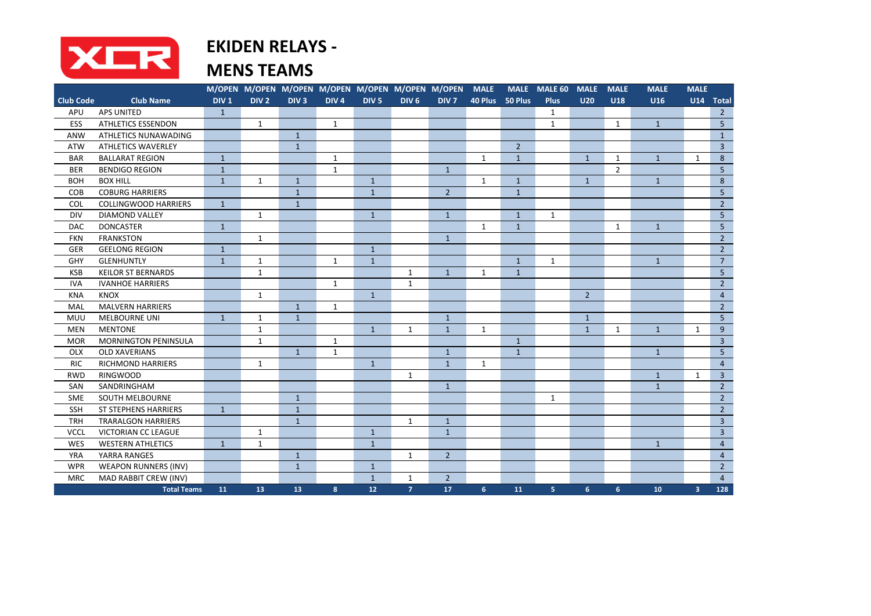

## **EKIDEN RELAYS -**

|                  |                             |                  |                  |                  |                  | M/OPEN M/OPEN M/OPEN M/OPEN M/OPEN M/OPEN M/OPEN MALE |                  |                  |                |                 | MALE MALE 60   | <b>MALE</b>    | <b>MALE</b>    | <b>MALE</b>  | <b>MALE</b>    |                 |
|------------------|-----------------------------|------------------|------------------|------------------|------------------|-------------------------------------------------------|------------------|------------------|----------------|-----------------|----------------|----------------|----------------|--------------|----------------|-----------------|
| <b>Club Code</b> | <b>Club Name</b>            | DIV <sub>1</sub> | DIV <sub>2</sub> | DIV <sub>3</sub> | DIV <sub>4</sub> | DIV <sub>5</sub>                                      | DIV <sub>6</sub> | DIV <sub>7</sub> |                | 40 Plus 50 Plus | <b>Plus</b>    | U20            | <b>U18</b>     | <b>U16</b>   |                | $U14$ Total     |
| APU              | <b>APS UNITED</b>           | $\mathbf{1}$     |                  |                  |                  |                                                       |                  |                  |                |                 | 1              |                |                |              |                | $\overline{2}$  |
| ESS              | <b>ATHLETICS ESSENDON</b>   |                  | $\mathbf{1}$     |                  | $\mathbf{1}$     |                                                       |                  |                  |                |                 | $\mathbf{1}$   |                | $\mathbf{1}$   | $\mathbf{1}$ |                | 5               |
| ANW              | ATHLETICS NUNAWADING        |                  |                  | $\mathbf{1}$     |                  |                                                       |                  |                  |                |                 |                |                |                |              |                | $\mathbf{1}$    |
| <b>ATW</b>       | <b>ATHLETICS WAVERLEY</b>   |                  |                  | $\mathbf{1}$     |                  |                                                       |                  |                  |                | $\overline{2}$  |                |                |                |              |                | $\overline{3}$  |
| <b>BAR</b>       | <b>BALLARAT REGION</b>      | $\mathbf{1}$     |                  |                  | $\mathbf{1}$     |                                                       |                  |                  | $\mathbf{1}$   | $\mathbf{1}$    |                | $\mathbf{1}$   | $\mathbf{1}$   | $\mathbf{1}$ | $\mathbf{1}$   | $\bf 8$         |
| <b>BER</b>       | <b>BENDIGO REGION</b>       | $\mathbf{1}$     |                  |                  | $\mathbf{1}$     |                                                       |                  | $\mathbf{1}$     |                |                 |                |                | $\overline{2}$ |              |                | $5\overline{)}$ |
| <b>BOH</b>       | <b>BOX HILL</b>             | $\mathbf{1}$     | $\mathbf{1}$     | $\mathbf{1}$     |                  | $\mathbf{1}$                                          |                  |                  | $\mathbf{1}$   | $\mathbf{1}$    |                | $\mathbf{1}$   |                | $\mathbf{1}$ |                | 8               |
| COB              | <b>COBURG HARRIERS</b>      |                  |                  | $\mathbf{1}$     |                  | $\mathbf{1}$                                          |                  | $2^{\circ}$      |                | $\mathbf{1}$    |                |                |                |              |                | 5               |
| <b>COL</b>       | <b>COLLINGWOOD HARRIERS</b> | $\mathbf{1}$     |                  | $\mathbf{1}$     |                  |                                                       |                  |                  |                |                 |                |                |                |              |                | $\overline{2}$  |
| <b>DIV</b>       | <b>DIAMOND VALLEY</b>       |                  | $\mathbf{1}$     |                  |                  | $\mathbf{1}$                                          |                  | $\mathbf{1}$     |                | $\mathbf{1}$    | 1              |                |                |              |                | 5               |
| <b>DAC</b>       | <b>DONCASTER</b>            | $\mathbf{1}$     |                  |                  |                  |                                                       |                  |                  | $\mathbf{1}$   | $\mathbf{1}$    |                |                | $\mathbf{1}$   | $\mathbf{1}$ |                | 5               |
| <b>FKN</b>       | <b>FRANKSTON</b>            |                  | $\mathbf{1}$     |                  |                  |                                                       |                  | $\mathbf{1}$     |                |                 |                |                |                |              |                | $\overline{2}$  |
| <b>GER</b>       | <b>GEELONG REGION</b>       | $\mathbf{1}$     |                  |                  |                  | $\mathbf{1}$                                          |                  |                  |                |                 |                |                |                |              |                | $\overline{2}$  |
| GHY              | <b>GLENHUNTLY</b>           | $\mathbf 1$      | $\mathbf{1}$     |                  | $\mathbf{1}$     | $\mathbf{1}$                                          |                  |                  |                | $\mathbf{1}$    | $\mathbf{1}$   |                |                | $\mathbf{1}$ |                | $\overline{7}$  |
| <b>KSB</b>       | <b>KEILOR ST BERNARDS</b>   |                  | $\mathbf{1}$     |                  |                  |                                                       | $\mathbf{1}$     | $\mathbf{1}$     | 1              | $\mathbf{1}$    |                |                |                |              |                | $5\overline{)}$ |
| <b>IVA</b>       | <b>IVANHOE HARRIERS</b>     |                  |                  |                  | $\mathbf{1}$     |                                                       | $\mathbf{1}$     |                  |                |                 |                |                |                |              |                | $\overline{2}$  |
| <b>KNA</b>       | <b>KNOX</b>                 |                  | $\mathbf{1}$     |                  |                  | $\mathbf{1}$                                          |                  |                  |                |                 |                | $\overline{2}$ |                |              |                | $\overline{4}$  |
| MAL              | <b>MALVERN HARRIERS</b>     |                  |                  | $\mathbf{1}$     | $\mathbf{1}$     |                                                       |                  |                  |                |                 |                |                |                |              |                | $\overline{2}$  |
| MUU              | <b>MELBOURNE UNI</b>        | $\mathbf{1}$     | $\mathbf{1}$     | $\mathbf{1}$     |                  |                                                       |                  | $\mathbf{1}$     |                |                 |                | $\mathbf{1}$   |                |              |                | $5\overline{)}$ |
| MEN              | <b>MENTONE</b>              |                  | $\mathbf 1$      |                  |                  | $\mathbf{1}$                                          | $\mathbf{1}$     | $\mathbf{1}$     | $\mathbf{1}$   |                 |                | $\mathbf{1}$   | $1\,$          | $\mathbf{1}$ | $\mathbf{1}$   | 9               |
| <b>MOR</b>       | <b>MORNINGTON PENINSULA</b> |                  | $\mathbf{1}$     |                  | $\mathbf{1}$     |                                                       |                  |                  |                | $\mathbf{1}$    |                |                |                |              |                | $\overline{3}$  |
| <b>OLX</b>       | <b>OLD XAVERIANS</b>        |                  |                  | $\mathbf{1}$     | $\mathbf{1}$     |                                                       |                  | $\mathbf{1}$     |                | $\mathbf{1}$    |                |                |                | $\mathbf{1}$ |                | 5               |
| <b>RIC</b>       | <b>RICHMOND HARRIERS</b>    |                  | $\mathbf{1}$     |                  |                  | $\mathbf{1}$                                          |                  | $\mathbf{1}$     | $\mathbf{1}$   |                 |                |                |                |              |                | $\overline{4}$  |
| <b>RWD</b>       | <b>RINGWOOD</b>             |                  |                  |                  |                  |                                                       | $\mathbf{1}$     |                  |                |                 |                |                |                | $\mathbf{1}$ | $\mathbf{1}$   | $\overline{3}$  |
| SAN              | SANDRINGHAM                 |                  |                  |                  |                  |                                                       |                  | $\mathbf{1}$     |                |                 |                |                |                | $\mathbf{1}$ |                | $\overline{2}$  |
| <b>SME</b>       | SOUTH MELBOURNE             |                  |                  | $\mathbf{1}$     |                  |                                                       |                  |                  |                |                 | $\mathbf{1}$   |                |                |              |                | $\overline{2}$  |
| <b>SSH</b>       | <b>ST STEPHENS HARRIERS</b> | $\mathbf{1}$     |                  | $\mathbf{1}$     |                  |                                                       |                  |                  |                |                 |                |                |                |              |                | $\overline{2}$  |
| <b>TRH</b>       | <b>TRARALGON HARRIERS</b>   |                  |                  | $\mathbf{1}$     |                  |                                                       | $\mathbf{1}$     | $\mathbf{1}$     |                |                 |                |                |                |              |                | $\overline{3}$  |
| <b>VCCL</b>      | VICTORIAN CC LEAGUE         |                  | $\mathbf{1}$     |                  |                  | $\mathbf 1$                                           |                  | $\mathbf{1}$     |                |                 |                |                |                |              |                | $\overline{3}$  |
| <b>WES</b>       | <b>WESTERN ATHLETICS</b>    | $\mathbf{1}$     | $\mathbf{1}$     |                  |                  | $\mathbf{1}$                                          |                  |                  |                |                 |                |                |                | $\mathbf{1}$ |                | $\overline{4}$  |
| <b>YRA</b>       | YARRA RANGES                |                  |                  | $\mathbf{1}$     |                  |                                                       | $\mathbf{1}$     | $2^{\circ}$      |                |                 |                |                |                |              |                | $\overline{4}$  |
| <b>WPR</b>       | <b>WEAPON RUNNERS (INV)</b> |                  |                  | $\mathbf{1}$     |                  | $\mathbf{1}$                                          |                  |                  |                |                 |                |                |                |              |                | $\overline{2}$  |
| <b>MRC</b>       | MAD RABBIT CREW (INV)       |                  |                  |                  |                  | $\mathbf{1}$                                          | $\mathbf{1}$     | $2^{\circ}$      |                |                 |                |                |                |              |                | $\overline{4}$  |
|                  | <b>Total Teams</b>          | 11               | 13               | 13               | 8 <sup>°</sup>   | 12 <sub>2</sub>                                       | 7 <sup>7</sup>   | 17               | 6 <sup>1</sup> | 11              | 5 <sup>1</sup> | 6 <sup>1</sup> | 6 <sup>1</sup> | 10           | 3 <sup>1</sup> | 128             |